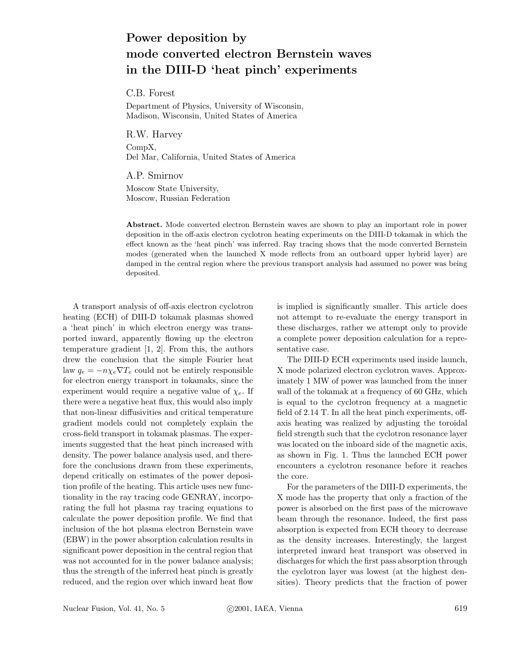## **Power deposition by mode converted electron Bernstein waves in the DIII-D 'heat pinch' experiments**

C.B. Forest

Department of Physics, University of Wisconsin, Madison, Wisconsin, United States of America

R.W. Harvey CompX, Del Mar, California, United States of America

A.P. Smirnov Moscow State University,

Moscow, Russian Federation

**Abstract.** Mode converted electron Bernstein waves are shown to play an important role in power deposition in the off-axis electron cyclotron heating experiments on the DIII-D tokamak in which the effect known as the 'heat pinch' was inferred. Ray tracing shows that the mode converted Bernstein modes (generated when the launched X mode reflects from an outboard upper hybrid layer) are damped in the central region where the previous transport analysis had assumed no power was being deposited.

A transport analysis of off-axis electron cyclotron heating (ECH) of DIII-D tokamak plasmas showed a 'heat pinch' in which electron energy was transported inward, apparently flowing up the electron temperature gradient [1, 2]. From this, the authors drew the conclusion that the simple Fourier heat law  $q_e = -n\chi_e\nabla T_e$  could not be entirely responsible for electron energy transport in tokamaks, since the experiment would require a negative value of  $\chi_e$ . If there were a negative heat flux, this would also imply that non-linear diffusivities and critical temperature gradient models could not completely explain the cross-field transport in tokamak plasmas. The experiments suggested that the heat pinch increased with density. The power balance analysis used, and therefore the conclusions drawn from these experiments, depend critically on estimates of the power deposition profile of the heating. This article uses new functionality in the ray tracing code GENRAY, incorporating the full hot plasma ray tracing equations to calculate the power deposition profile. We find that inclusion of the hot plasma electron Bernstein wave (EBW) in the power absorption calculation results in significant power deposition in the central region that was not accounted for in the power balance analysis; thus the strength of the inferred heat pinch is greatly reduced, and the region over which inward heat flow

is implied is significantly smaller. This article does not attempt to re-evaluate the energy transport in these discharges, rather we attempt only to provide a complete power deposition calculation for a representative case.

The DIII-D ECH experiments used inside launch, X mode polarized electron cyclotron waves. Approximately 1 MW of power was launched from the inner wall of the tokamak at a frequency of 60 GHz, which is equal to the cyclotron frequency at a magnetic field of 2.14 T. In all the heat pinch experiments, offaxis heating was realized by adjusting the toroidal field strength such that the cyclotron resonance layer was located on the inboard side of the magnetic axis, as shown in Fig. 1. Thus the launched ECH power encounters a cyclotron resonance before it reaches the core.

For the parameters of the DIII-D experiments, the X mode has the property that only a fraction of the power is absorbed on the first pass of the microwave beam through the resonance. Indeed, the first pass absorption is expected from ECH theory to decrease as the density increases. Interestingly, the largest interpreted inward heat transport was observed in discharges for which the first pass absorption through the cyclotron layer was lowest (at the highest densities). Theory predicts that the fraction of power

Nuclear Fusion, Vol. 41, No. 5 ©2001, IAEA, Vienna 619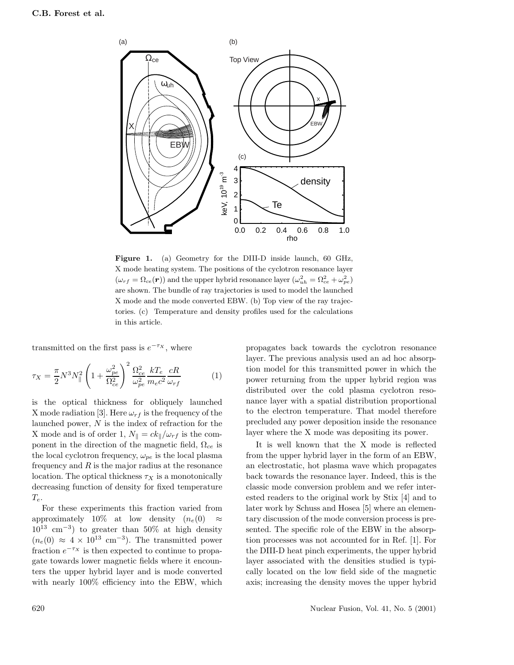

**Figure 1.** (a) Geometry for the DIII-D inside launch, 60 GHz, X mode heating system. The positions of the cyclotron resonance layer  $(\omega_{rf} = \Omega_{ce}(\mathbf{r}))$  and the upper hybrid resonance layer  $(\omega_{uh}^2 = \Omega_{ce}^2 + \omega_{pe}^2)$ are shown. The bundle of ray trajectories is used to model the launched X mode and the mode converted EBW. (b) Top view of the ray trajectories. (c) Temperature and density profiles used for the calculations in this article.

transmitted on the first pass is  $e^{-\tau x}$ , where

$$
\tau_X = \frac{\pi}{2} N^3 N_{\parallel}^2 \left( 1 + \frac{\omega_{pe}^2}{\Omega_{ce}^2} \right)^2 \frac{\Omega_{ce}^2}{\omega_{pe}^2} \frac{kT_e}{m_e c^2} \frac{cR}{\omega_{rf}} \tag{1}
$$

is the optical thickness for obliquely launched X mode radiation [3]. Here  $\omega_{rf}$  is the frequency of the launched power,  $N$  is the index of refraction for the X mode and is of order 1,  $N_{\parallel} = ck_{\parallel}/\omega_{rf}$  is the component in the direction of the magnetic field,  $\Omega_{ce}$  is the local cyclotron frequency,  $\omega_{pe}$  is the local plasma frequency and  $R$  is the major radius at the resonance location. The optical thickness  $\tau_X$  is a monotonically decreasing function of density for fixed temperature  $T_e$ .

For these experiments this fraction varied from approximately 10% at low density  $(n_e(0) \approx$  $10^{13}$  cm<sup>-3</sup>) to greater than 50% at high density  $(n_e(0) \approx 4 \times 10^{13} \text{ cm}^{-3})$ . The transmitted power fraction  $e^{-\tau x}$  is then expected to continue to propagate towards lower magnetic fields where it encounters the upper hybrid layer and is mode converted with nearly 100% efficiency into the EBW, which

propagates back towards the cyclotron resonance layer. The previous analysis used an ad hoc absorption model for this transmitted power in which the power returning from the upper hybrid region was distributed over the cold plasma cyclotron resonance layer with a spatial distribution proportional to the electron temperature. That model therefore precluded any power deposition inside the resonance layer where the X mode was depositing its power.

It is well known that the X mode is reflected from the upper hybrid layer in the form of an EBW, an electrostatic, hot plasma wave which propagates back towards the resonance layer. Indeed, this is the classic mode conversion problem and we refer interested readers to the original work by Stix [4] and to later work by Schuss and Hosea [5] where an elementary discussion of the mode conversion process is presented. The specific role of the EBW in the absorption processes was not accounted for in Ref. [1]. For the DIII-D heat pinch experiments, the upper hybrid layer associated with the densities studied is typically located on the low field side of the magnetic axis; increasing the density moves the upper hybrid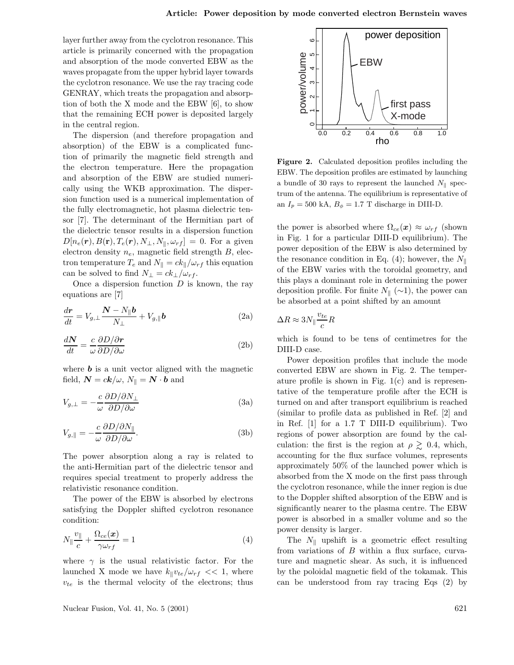layer further away from the cyclotron resonance. This article is primarily concerned with the propagation and absorption of the mode converted EBW as the waves propagate from the upper hybrid layer towards the cyclotron resonance. We use the ray tracing code GENRAY, which treats the propagation and absorption of both the X mode and the EBW [6], to show that the remaining ECH power is deposited largely in the central region.

The dispersion (and therefore propagation and absorption) of the EBW is a complicated function of primarily the magnetic field strength and the electron temperature. Here the propagation and absorption of the EBW are studied numerically using the WKB approximation. The dispersion function used is a numerical implementation of the fully electromagnetic, hot plasma dielectric tensor [7]. The determinant of the Hermitian part of the dielectric tensor results in a dispersion function  $D[n_e(\mathbf{r}), B(\mathbf{r}), T_e(\mathbf{r}), N_{\perp}, N_{\parallel}, \omega_{rf}] = 0$ . For a given electron density  $n_e$ , magnetic field strength  $B$ , electron temperature  $T_e$  and  $N_{\parallel} = ck_{\parallel}/\omega_{rf}$  this equation can be solved to find  $N_{\perp} = ck_{\perp}/\omega_{rf}$ .

Once a dispersion function  $D$  is known, the ray equations are [7]

$$
\frac{d\mathbf{r}}{dt} = V_{g,\perp} \frac{\mathbf{N} - N_{\parallel} \mathbf{b}}{N_{\perp}} + V_{g,\parallel} \mathbf{b}
$$
 (2a)

$$
\frac{dN}{dt} = \frac{c}{\omega} \frac{\partial D/\partial r}{\partial D/\partial \omega}
$$
 (2b)

where  $\boldsymbol{b}$  is a unit vector aligned with the magnetic field,  $\mathbf{N} = c\mathbf{k}/\omega$ ,  $N_{\parallel} = \mathbf{N} \cdot \mathbf{b}$  and

$$
V_{g,\perp} = -\frac{c}{\omega} \frac{\partial D/\partial N_{\perp}}{\partial D/\partial \omega} \tag{3a}
$$

$$
V_{g,||} = -\frac{c}{\omega} \frac{\partial D/\partial N_{||}}{\partial D/\partial \omega}.
$$
 (3b)

The power absorption along a ray is related to the anti-Hermitian part of the dielectric tensor and requires special treatment to properly address the relativistic resonance condition.

The power of the EBW is absorbed by electrons satisfying the Doppler shifted cyclotron resonance condition:

$$
N_{\parallel} \frac{v_{\parallel}}{c} + \frac{\Omega_{ce}(x)}{\gamma \omega_{rf}} = 1 \tag{4}
$$

where  $\gamma$  is the usual relativistic factor. For the launched X mode we have  $k_{\parallel}v_{te}/\omega_{rf} << 1$ , where  $v_{te}$  is the thermal velocity of the electrons; thus

power deposition  $\overline{c}$  1 2 3 4 5 6 power/volume power/volume EBW  $\infty$ first pass X-mode  $\circ$ 0.0 0.2 0.4 0.6 0.8 1.0 rho

**Figure 2.** Calculated deposition profiles including the EBW. The deposition profiles are estimated by launching a bundle of 30 rays to represent the launched  $N_{\parallel}$  spectrum of the antenna. The equilibrium is representative of an  $I_p = 500 \text{ kA}, B_\phi = 1.7 \text{ T}$  discharge in DIII-D.

the power is absorbed where  $\Omega_{ce}(x) \approx \omega_{rf}$  (shown in Fig. 1 for a particular DIII-D equilibrium). The power deposition of the EBW is also determined by the resonance condition in Eq. (4); however, the  $N_{\parallel}$ of the EBW varies with the toroidal geometry, and this plays a dominant role in determining the power deposition profile. For finite  $N_{\parallel}$  (∼1), the power can be absorbed at a point shifted by an amount

$$
\Delta R \approx 3N_{\parallel} \frac{v_{te}}{c} R
$$

which is found to be tens of centimetres for the DIII-D case.

Power deposition profiles that include the mode converted EBW are shown in Fig. 2. The temperature profile is shown in Fig.  $1(c)$  and is representative of the temperature profile after the ECH is turned on and after transport equilibrium is reached (similar to profile data as published in Ref. [2] and in Ref. [1] for a 1.7 T DIII-D equilibrium). Two regions of power absorption are found by the calculation: the first is the region at  $\rho \gtrsim 0.4$ , which, accounting for the flux surface volumes, represents approximately 50% of the launched power which is absorbed from the X mode on the first pass through the cyclotron resonance, while the inner region is due to the Doppler shifted absorption of the EBW and is significantly nearer to the plasma centre. The EBW power is absorbed in a smaller volume and so the power density is larger.

The  $N_{\parallel}$  upshift is a geometric effect resulting from variations of B within a flux surface, curvature and magnetic shear. As such, it is influenced by the poloidal magnetic field of the tokamak. This can be understood from ray tracing Eqs (2) by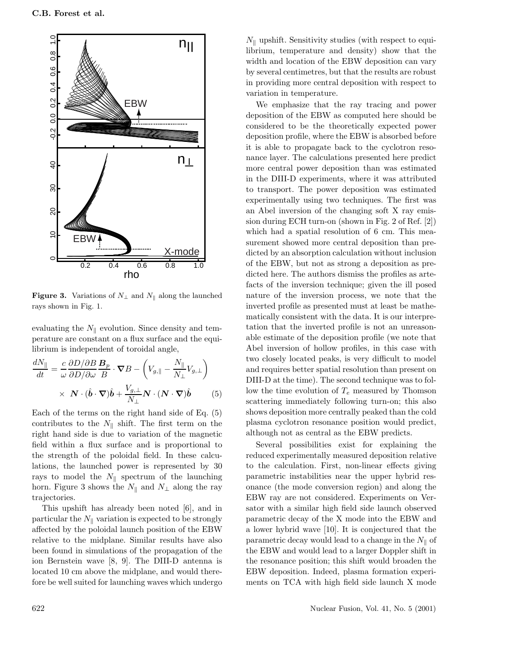

**Figure 3.** Variations of  $N_{\perp}$  and  $N_{\parallel}$  along the launched rays shown in Fig. 1.

evaluating the  $N_{\parallel}$  evolution. Since density and temperature are constant on a flux surface and the equilibrium is independent of toroidal angle,

$$
\frac{dN_{\parallel}}{dt} = \frac{c}{\omega} \frac{\partial D/\partial B}{\partial D/\partial \omega} \frac{\mathbf{B}_p}{B} \cdot \nabla B - \left( V_{g,\parallel} - \frac{N_{\parallel}}{N_{\perp}} V_{g,\perp} \right) \times \mathbf{N} \cdot (\hat{\mathbf{b}} \cdot \nabla) \hat{\mathbf{b}} + \frac{V_{g,\perp}}{N_{\perp}} \mathbf{N} \cdot (\mathbf{N} \cdot \nabla) \hat{\mathbf{b}} \qquad (5)
$$

Each of the terms on the right hand side of Eq. (5) contributes to the  $N_{\parallel}$  shift. The first term on the right hand side is due to variation of the magnetic field within a flux surface and is proportional to the strength of the poloidal field. In these calculations, the launched power is represented by 30 rays to model the  $N_{\parallel}$  spectrum of the launching horn. Figure 3 shows the  $N_{\parallel}$  and  $N_{\perp}$  along the ray trajectories.

This upshift has already been noted [6], and in particular the  $N_{\parallel}$  variation is expected to be strongly affected by the poloidal launch position of the EBW relative to the midplane. Similar results have also been found in simulations of the propagation of the ion Bernstein wave [8, 9]. The DIII-D antenna is located 10 cm above the midplane, and would therefore be well suited for launching waves which undergo

 $N_{\parallel}$  upshift. Sensitivity studies (with respect to equilibrium, temperature and density) show that the width and location of the EBW deposition can vary by several centimetres, but that the results are robust in providing more central deposition with respect to variation in temperature.

We emphasize that the ray tracing and power deposition of the EBW as computed here should be considered to be the theoretically expected power deposition profile, where the EBW is absorbed before it is able to propagate back to the cyclotron resonance layer. The calculations presented here predict more central power deposition than was estimated in the DIII-D experiments, where it was attributed to transport. The power deposition was estimated experimentally using two techniques. The first was an Abel inversion of the changing soft X ray emission during ECH turn-on (shown in Fig. 2 of Ref. [2]) which had a spatial resolution of 6 cm. This measurement showed more central deposition than predicted by an absorption calculation without inclusion of the EBW, but not as strong a deposition as predicted here. The authors dismiss the profiles as artefacts of the inversion technique; given the ill posed nature of the inversion process, we note that the inverted profile as presented must at least be mathematically consistent with the data. It is our interpretation that the inverted profile is not an unreasonable estimate of the deposition profile (we note that Abel inversion of hollow profiles, in this case with two closely located peaks, is very difficult to model and requires better spatial resolution than present on DIII-D at the time). The second technique was to follow the time evolution of  $T_e$  measured by Thomson scattering immediately following turn-on; this also shows deposition more centrally peaked than the cold plasma cyclotron resonance position would predict, although not as central as the EBW predicts.

Several possibilities exist for explaining the reduced experimentally measured deposition relative to the calculation. First, non-linear effects giving parametric instabilities near the upper hybrid resonance (the mode conversion region) and along the EBW ray are not considered. Experiments on Versator with a similar high field side launch observed parametric decay of the X mode into the EBW and a lower hybrid wave [10]. It is conjectured that the parametric decay would lead to a change in the  $N_{\parallel}$  of the EBW and would lead to a larger Doppler shift in the resonance position; this shift would broaden the EBW deposition. Indeed, plasma formation experiments on TCA with high field side launch X mode